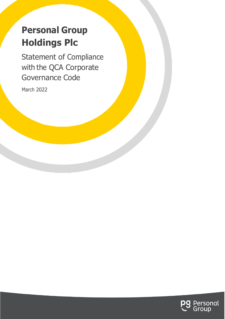# **Personal Group Holdings Plc**

Statement of Compliance with the QCA Corporate Governance Code

March 2022

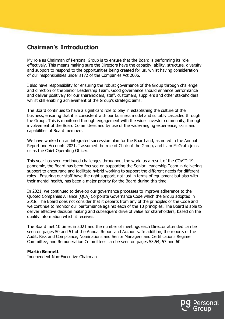## **Chairman's Introduction**

My role as Chairman of Personal Group is to ensure that the Board is performing its role effectively. This means making sure the Directors have the capacity, ability, structure, diversity and support to respond to the opportunities being created for us, whilst having consideration of our responsibilities under s172 of the Companies Act 2006.

I also have responsibility for ensuring the robust governance of the Group through challenge and direction of the Senior Leadership Team. Good governance should enhance performance and deliver positively for our shareholders, staff, customers, suppliers and other stakeholders whilst still enabling achievement of the Group's strategic aims.

The Board continues to have a significant role to play in establishing the culture of the business, ensuring that it is consistent with our business model and suitably cascaded through the Group. This is monitored through engagement with the wider investor community, through involvement of the Board Committees and by use of the wide-ranging experience, skills and capabilities of Board members.

We have worked on an integrated succession plan for the Board and, as noted in the Annual Report and Accounts 2021, I assumed the role of Chair of the Group, and Liam McGrath joins us as the Chief Operating Officer.

This year has seen continued challenges throughout the world as a result of the COVID-19 pandemic, the Board has been focused on supporting the Senior Leadership Team in delivering support to encourage and facilitate hybrid working to support the different needs for different roles. Ensuring our staff have the right support, not just in terms of equipment but also with their mental health, has been a major priority for the Board during this time.

In 2021, we continued to develop our governance processes to improve adherence to the Quoted Companies Alliance (QCA) Corporate Governance Code which the Group adopted in 2018. The Board does not consider that it departs from any of the principles of the Code and we continue to monitor our performance against each of the 10 principles. The Board is able to deliver effective decision making and subsequent drive of value for shareholders, based on the quality information which it receives.

The Board met 10 times in 2021 and the number of meetings each Director attended can be seen on pages 50 and 51 of the Annual Report and Accounts. In addition, the reports of the Audit, Risk and Compliance, Nominations and Senior Managers and Certifications Regime Committee, and Remuneration Committees can be seen on pages 53,54, 57 and 60.

#### **Martin Bennett**

Independent Non-Executive Chairman

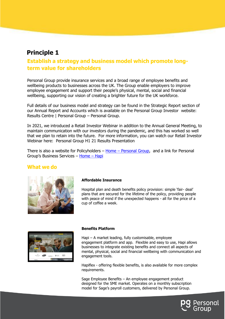### **Establish a strategy and business model which promote longterm value for shareholders**

Personal Group provide insurance services and a broad range of employee benefits and wellbeing products to businesses across the UK. The Group enable employers to improve employee engagement and support their people's physical, mental, social and financial wellbeing, supporting our vision of creating a brighter future for the UK workforce.

Full details of our business model and strategy can be found in the Strategic Report section of our Annual Report and Accounts which is available on the Personal Group Investor website: [Results Centre | Personal Group](https://www.personalgroup.com/investors/results-centre) – Personal Group.

In 2021, we introduced a Retail Investor Webinar in addition to the Annual General Meeting, to maintain communication with our investors during the pandemic, and this has worked so well that we plan to retain into the future. For more information, you can watch our Retail Investor Webinar here: [Personal Group H1 21 Results Presentation](https://player.vimeo.com/video/615868567?h=b32c440b4c&badge=0&autopause=0&player_id=0&app_id=58479)

There is also a website for Policyholders  $-$  Home  $-$  [Personal Group,](https://www.personalgroupinsurance.com/) and a link for Personal Group's Business Services – [Home](https://www.hapi.co.uk/) – Hapi

#### **What we do**



#### **Affordable Insurance**

Hospital plan and death benefits policy provision: simple 'fair- deal' plans that are secured for the lifetime of the policy, providing people with peace of mind if the unexpected happens - all for the price of a cup of coffee a week.



#### **Benefits Platform**

Hapi – A market leading, fully customisable, employee engagement platform and app. Flexible and easy to use, Hapi allows businesses to integrate existing benefits and connect all aspects of mental, physical, social and financial wellbeing with communication and engagement tools.

Hapiflex - offering flexible benefits, is also available for more complex requirements.

Sage Employee Benefits – An employee engagement product designed for the SME market. Operates on a monthly subscription model for Sage's payroll customers, delivered by Personal Group.

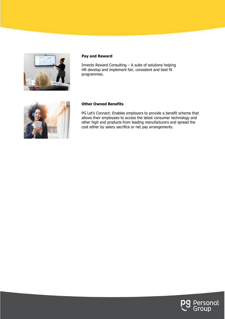

#### **Pay and Reward**

Innecto Reward Consulting – A suite of solutions helping HR develop and implement fair, consistent and best fit programmes.



#### **Other Owned Benefits**

PG Let's Connect: Enables employers to provide a benefit scheme that allows their employees to access the latest consumer technology and other high end products from leading manufacturers and spread the cost either by salary sacrifice or net pay arrangements.

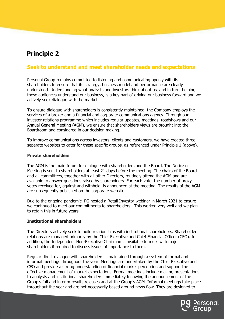### **Seek to understand and meet shareholder needs and expectations**

Personal Group remains committed to listening and communicating openly with its shareholders to ensure that its strategy, business model and performance are clearly understood. Understanding what analysts and investors think about us, and in turn, helping these audiences understand our business, is a key part of driving our business forward and we actively seek dialogue with the market.

To ensure dialogue with shareholders is consistently maintained, the Company employs the services of a broker and a financial and corporate communications agency. Through our investor relations programme which includes regular updates, meetings, roadshows and our Annual General Meeting (AGM), we ensure that shareholders views are brought into the Boardroom and considered in our decision making.

To improve communications across investors, clients and customers, we have created three separate websites to cater for these specific groups, as referenced under Principle 1 (above).

#### **Private shareholders**

The AGM is the main forum for dialogue with shareholders and the Board. The Notice of Meeting is sent to shareholders at least 21 days before the meeting. The chairs of the Board and all committees, together with all other Directors, routinely attend the AGM and are available to answer questions raised by shareholders. For each vote, the number of proxy votes received for, against and withheld, is announced at the meeting. The results of the AGM are subsequently published on the corporate website.

Due to the ongoing pandemic, PG hosted a Retail Investor webinar in March 2021 to ensure we continued to meet our commitments to shareholders. This worked very well and we plan to retain this in future years.

#### **Institutional shareholders**

The Directors actively seek to build relationships with institutional shareholders. Shareholder relations are managed primarily by the Chief Executive and Chief Financial Officer (CFO). In addition, the Independent Non-Executive Chairman is available to meet with major shareholders if required to discuss issues of importance to them.

Regular direct dialogue with shareholders is maintained through a system of formal and informal meetings throughout the year. Meetings are undertaken by the Chief Executive and CFO and provide a strong understanding of financial market perception and support the effective management of market expectations. Formal meetings include making presentations to analysts and institutional shareholders immediately following the announcement of the Group's full and interim results releases and at the Group's AGM. Informal meetings take place throughout the year and are not necessarily based around news flow. They are designed to

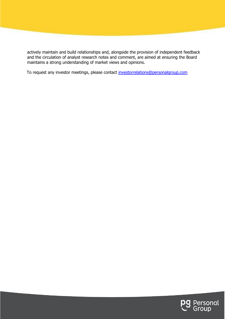actively maintain and build relationships and, alongside the provision of independent feedback and the circulation of analyst research notes and comment, are aimed at ensuring the Board maintains a strong understanding of market views and opinions.

To request any investor meetings, please contact [investorrelations@personalgroup.com](mailto:investorrelations@personalgroup.com)

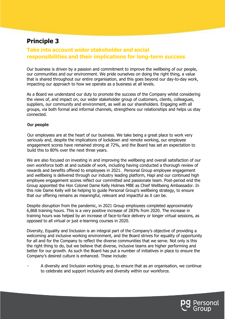### **Take into account wider stakeholder and social responsibilities and their implications for long-term success**

Our business is driven by a passion and commitment to improve the wellbeing of our people, our communities and our environment. We pride ourselves on doing the right thing, a value that is shared throughout our entire organisation, and this goes beyond our day-to-day work, impacting our approach to how we operate as a business at all levels.

As a Board we understand our duty to promote the success of the Company whilst considering the views of, and impact on, our wider stakeholder group of customers, clients, colleagues, suppliers, our community and environment, as well as our shareholders. Engaging with all groups, via both formal and informal channels, strengthens our relationships and helps us stay connected.

#### **Our people**

Our employees are at the heart of our business. We take being a great place to work very seriously and, despite the implications of lockdown and remote working, our employee engagement scores have remained strong at 72%, and the Board has set an expectation to build this to 80% over the next three years.

We are also focused on investing in and improving the wellbeing and overall satisfaction of our own workforce both at and outside of work, including having conducted a thorough review of rewards and benefits offered to employees in 2021. Personal Group employee engagement and wellbeing is delivered through our industry leading platform, Hapi and our continued high employee engagement scores reflect our committed and passionate team. Post-period end the Group appointed the Hon Colonel Dame Kelly Holmes MBE as Chief Wellbeing Ambassador. In this role Dame Kelly will be helping to guide Personal Group's wellbeing strategy, to ensure that our offering remains as meaningful, relevant and impactful as it can be.

Despite disruption from the pandemic, in 2021 Group employees completed approximately 6,868 training hours. This is a very positive increase of 283% from 2020. The increase in training hours was helped by an increase of face-to-face delivery or longer virtual sessions, as opposed to all virtual or just e-learning courses in 2020.

Diversity, Equality and Inclusion is an integral part of the Company's objective of providing a welcoming and inclusive working environment, and the Board strives for equality of opportunity for all and for the Company to reflect the diverse communities that we serve. Not only is this the right thing to do, but we believe that diverse, inclusive teams are higher performing and better for our growth. As such the Board has put a number of initiatives in place to ensure the Company's desired culture is enhanced. These include:

A diversity and Inclusion working group, to ensure that as an organisation, we continue to celebrate and support inclusivity and diversity within our workforce.

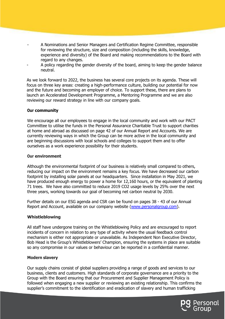- A Nominations and Senior Managers and Certification Regime Committee, responsible for reviewing the structure, size and composition (including the skills, knowledge, experience and diversity) of the Board and making recommendations to the Board with regard to any changes.
- A policy regarding the gender diversity of the board, aiming to keep the gender balance neutral.

As we look forward to 2022, the business has several core projects on its agenda. These will focus on three key areas: creating a high-performance culture, building our potential for now and the future and becoming an employer of choice. To support these, there are plans to launch an Accelerated Development Programme, a Mentoring Programme and we are also reviewing our reward strategy in line with our company goals.

#### **Our community**

We encourage all our employees to engage in the local community and work with our PACT Committee to utilise the funds in the Personal Assurance Charitable Trust to support charities at home and abroad as discussed on page 42 of our Annual Report and Accounts. We are currently reviewing ways in which the Group can be more active in the local community and are beginning discussions with local schools and colleges to support them and to offer ourselves as a work experience possibility for their students.

#### **Our environment**

Although the environmental footprint of our business is relatively small compared to others, reducing our impact on the environment remains a key focus. We have decreased our carbon footprint by installing solar panels at our headquarters. Since installation in May 2021, we have produced enough energy to power a home for 12,160 hours, or the equivalent of planting 71 trees. We have also committed to reduce 2019 CO2 usage levels by 25% over the next three years, working towards our goal of becoming net carbon neutral by 2030.

Further details on our ESG agenda and CSR can be found on pages 38 - 43 of our Annual Report and Account, available on our company website [\(www.personalgroup.com\)](http://www.personalgroup.com/).

#### **Whistleblowing**

All staff have undergone training on the Whistleblowing Policy and are encouraged to report incidents of concern in relation to any type of activity where the usual feedback control mechanism is either not appropriate or unavailable. As Independent Non Executive Director, Bob Head is the Group's Whistleblowers' Champion, ensuring the systems in place are suitable so any compromise in our values or behaviour can be reported in a confidential manner.

#### **Modern slavery**

Our supply chains consist of global suppliers providing a range of goods and services to our business, clients and customers. High standards of corporate governance are a priority to the Group with the Board ensuring that our Procurement and Supplier Management Policy is followed when engaging a new supplier or reviewing an existing relationship. This confirms the supplier's commitment to the identification and eradication of slavery and human trafficking

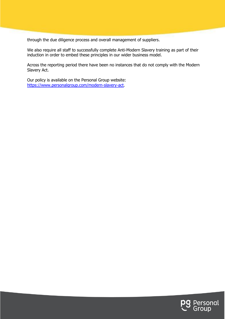through the due diligence process and overall management of suppliers.

We also require all staff to successfully complete Anti-Modern Slavery training as part of their induction in order to embed these principles in our wider business model.

Across the reporting period there have been no instances that do not comply with the Modern Slavery Act.

Our policy is available on the Personal Group website: <https://www.personalgroup.com/modern-slavery-act>.

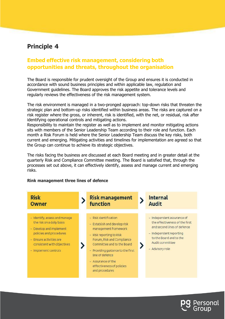### **Embed effective risk management, considering both opportunities and threats, throughout the organisation**

The Board is responsible for prudent oversight of the Group and ensures it is conducted in accordance with sound business principles and within applicable law, regulation and Government guidelines. The Board approves the risk appetite and tolerance levels and regularly reviews the effectiveness of the risk management system.

The risk environment is managed in a two-pronged approach: top-down risks that threaten the strategic plan and bottom-up risks identified within business areas. The risks are captured on a risk register where the gross, or inherent, risk is identified, with the net, or residual, risk after identifying operational controls and mitigating actions.

Responsibility to maintain the register as well as to implement and monitor mitigating actions sits with members of the Senior Leadership Team according to their role and function. Each month a Risk Forum is held where the Senior Leadership Team discuss the key risks, both current and emerging. Mitigating activities and timelines for implementation are agreed so that the Group can continue to achieve its strategic objectives.

The risks facing the business are discussed at each Board meeting and in greater detail at the quarterly Risk and Compliance Committee meeting. The Board is satisfied that, through the processes set out above, it can effectively identify, assess and manage current and emerging risks.

#### **Rink management three lines of defence**



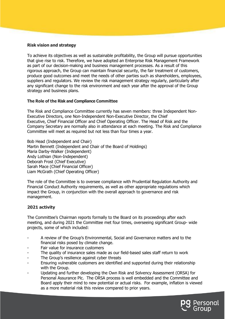#### **Risk vision and strategy**

To achieve its objectives as well as sustainable profitability, the Group will pursue opportunities that give rise to risk. Therefore, we have adopted an Enterprise Risk Management Framework as part of our decision-making and business management processes. As a result of this rigorous approach, the Group can maintain financial security, the fair treatment of customers, produce good outcomes and meet the needs of other parties such as shareholders, employees, suppliers and regulators. We review the risk management strategy regularly, particularly after any significant change to the risk environment and each year after the approval of the Group strategy and business plans.

#### **The Role of the Risk and Compliance Committee**

The Risk and Compliance Committee currently has seven members: three Independent Non-Executive Directors, one Non-Independent Non-Executive Director, the Chief Executive, Chief Financial Officer and Chief Operating Officer. The Head of Risk and the Company Secretary are normally also in attendance at each meeting. The Risk and Compliance Committee will meet as required but not less than four times a year.

Bob Head (Independent and Chair) Martin Bennett (Independent and Chair of the Board of Holdings) Maria Darby-Walker (Independent) Andy Lothian (Non-Independent) Deborah Frost (Chief Executive) Sarah Mace (Chief Financial Officer) Liam McGrath (Chief Operating Officer)

The role of the Committee is to oversee compliance with Prudential Regulation Authority and Financial Conduct Authority requirements, as well as other appropriate regulations which impact the Group, in conjunction with the overall approach to governance and risk management.

#### **2021 activity**

The Committee's Chairman reports formally to the Board on its proceedings after each meeting, and during 2021 the Committee met four times, overseeing significant Group- wide projects, some of which included:

- A review of the Group's Environmental, Social and Governance matters and to the financial risks posed by climate change.
- Fair value for insurance customers
- The quality of insurance sales made as our field-based sales staff return to work
- The Group's resilience against cyber threats
- Ensuring vulnerable customers are identified and supported during their relationship with the Group.
- Updating and further developing the Own Risk and Solvency Assessment (ORSA) for Personal Assurance Plc. The ORSA process is well embedded and the Committee and Board apply their mind to new potential or actual risks. For example, inflation is viewed as a more material risk this review compared to prior years.

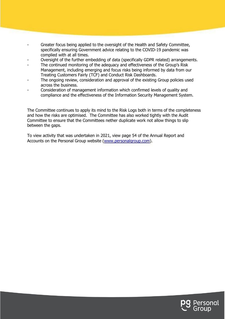- Greater focus being applied to the oversight of the Health and Safety Committee, specifically ensuring Government advice relating to the COVID-19 pandemic was complied with at all times.
- Oversight of the further embedding of data (specifically GDPR related) arrangements.
- The continued monitoring of the adequacy and effectiveness of the Group's Risk Management, including emerging and focus risks being informed by data from our Treating Customers Fairly (TCF) and Conduct Risk Dashboards.
- The ongoing review, consideration and approval of the existing Group policies used across the business.
- Consideration of management information which confirmed levels of quality and compliance and the effectiveness of the Information Security Management System.

The Committee continues to apply its mind to the Risk Logs both in terms of the completeness and how the risks are optimised. The Committee has also worked tightly with the Audit Committee to ensure that the Committees nether duplicate work not allow things to slip between the gaps.

To view activity that was undertaken in 2021, view page 54 of the Annual Report and Accounts on the Personal Group website [\(www.personalgroup.com\)](www.personalgroup.com).

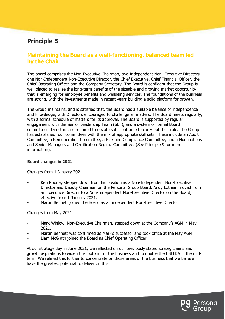### **Maintaining the Board as a well-functioning, balanced team led by the Chair**

The board comprises the Non-Executive Chairman, two Independent Non- Executive Directors, one Non-Independent Non-Executive Director, the Chief Executive, Chief Financial Officer, the Chief Operating Officer and the Company Secretary. The Board is confident that the Group is well placed to realise the long-term benefits of the sizeable and growing market opportunity that is emerging for employee benefits and wellbeing services. The foundations of the business are strong, with the investments made in recent years building a solid platform for growth.

The Group maintains, and is satisfied that, the Board has a suitable balance of independence and knowledge, with Directors encouraged to challenge all matters. The Board meets regularly, with a formal schedule of matters for its approval. The Board is supported by regular engagement with the Senior Leadership Team (SLT), and a system of formal Board committees. Directors are required to devote sufficient time to carry out their role. The Group has established four committees with the mix of appropriate skill sets. These include an Audit Committee, a Remuneration Committee, a Risk and Compliance Committee, and a Nominations and Senior Managers and Certification Regime Committee. (See Principle 9 for more information).

#### **Board changes in 2021**

Changes from 1 January 2021

- Ken Rooney stepped down from his position as a Non-Independent Non-Executive Director and Deputy Chairman on the Personal Group Board. Andy Lothian moved from an Executive Director to a Non-Independent Non-Executive Director on the Board, effective from 1 January 2021.
- Martin Bennett joined the Board as an independent Non-Executive Director

Changes from May 2021

- Mark Winlow, Non-Executive Chairman, stepped down at the Company's AGM in May 2021.
- Martin Bennett was confirmed as Mark's successor and took office at the May AGM.
- Liam McGrath joined the Board as Chief Operating Officer.

At our strategy day in June 2021, we reflected on our previously stated strategic aims and growth aspirations to widen the footprint of the business and to double the EBITDA in the midterm. We refined this further to concentrate on those areas of the business that we believe have the greatest potential to deliver on this.

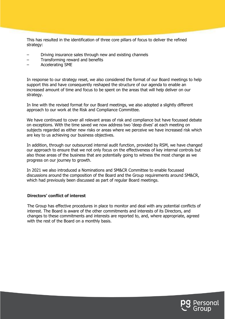This has resulted in the identification of three core pillars of focus to deliver the refined strategy:

- Driving insurance sales through new and existing channels
- Transforming reward and benefits
- Accelerating SME

In response to our strategy reset, we also considered the format of our Board meetings to help support this and have consequently reshaped the structure of our agenda to enable an increased amount of time and focus to be spent on the areas that will help deliver on our strategy.

In line with the revised format for our Board meetings, we also adopted a slightly different approach to our work at the Risk and Compliance Committee.

We have continued to cover all relevant areas of risk and compliance but have focussed debate on exceptions. With the time saved we now address two 'deep dives' at each meeting on subjects regarded as either new risks or areas where we perceive we have increased risk which are key to us achieving our business objectives.

In addition, through our outsourced internal audit function, provided by RSM, we have changed our approach to ensure that we not only focus on the effectiveness of key internal controls but also those areas of the business that are potentially going to witness the most change as we progress on our journey to growth.

In 2021 we also introduced a Nominations and SM&CR Committee to enable focussed discussions around the composition of the Board and the Group requirements around SM&CR, which had previously been discussed as part of regular Board meetings.

#### **Directors' conflict of interest**

The Group has effective procedures in place to monitor and deal with any potential conflicts of interest. The Board is aware of the other commitments and interests of its Directors, and changes to these commitments and interests are reported to, and, where appropriate, agreed with the rest of the Board on a monthly basis.

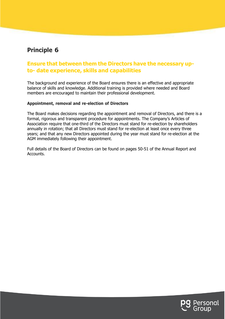### **Ensure that between them the Directors have the necessary upto- date experience, skills and capabilities**

The background and experience of the Board ensures there is an effective and appropriate balance of skills and knowledge. Additional training is provided where needed and Board members are encouraged to maintain their professional development.

#### **Appointment, removal and re-election of Directors**

The Board makes decisions regarding the appointment and removal of Directors, and there is a formal, rigorous and transparent procedure for appointments. The Company's Articles of Association require that one-third of the Directors must stand for re-election by shareholders annually in rotation; that all Directors must stand for re-election at least once every three years; and that any new Directors appointed during the year must stand for re-election at the AGM immediately following their appointment.

Full details of the Board of Directors can be found on pages 50-51 of the Annual Report and Accounts.

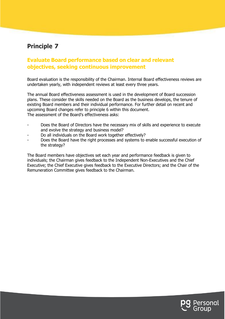### **Evaluate Board performance based on clear and relevant objectives, seeking continuous improvement**

Board evaluation is the responsibility of the Chairman. Internal Board effectiveness reviews are undertaken yearly, with independent reviews at least every three years.

The annual Board effectiveness assessment is used in the development of Board succession plans. These consider the skills needed on the Board as the business develops, the tenure of existing Board members and their individual performance. For further detail on recent and upcoming Board changes refer to principle 6 within this document. The assessment of the Board's effectiveness asks:

- Does the Board of Directors have the necessary mix of skills and experience to execute and evolve the strategy and business model?
- Do all individuals on the Board work together effectively?
- Does the Board have the right processes and systems to enable successful execution of the strategy?

The Board members have objectives set each year and performance feedback is given to individuals; the Chairman gives feedback to the Independent Non-Executives and the Chief Executive; the Chief Executive gives feedback to the Executive Directors; and the Chair of the Remuneration Committee gives feedback to the Chairman.

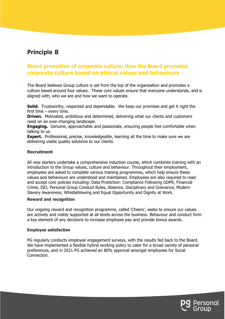### **Board promotion of corporate culture: How the Board promotes corporate culture based on ethical values and behaviours**

The Board believes Group culture is set from the top of the organisation and promotes a culture based around four values. These core values ensure that everyone understands, and is aligned with, who we are and how we want to operate.

**Solid.** Trustworthy, respected and dependable. We keep our promises and get it right the first time – every time.

**Driven.** Motivated, ambitious and determined, delivering what our clients and customers need on an ever-changing landscape.

**Engaging.** Genuine, approachable and passionate, ensuring people feel comfortable when talking to us.

**Expert.** Professional, precise, knowledgeable, learning all the time to make sure we are delivering viable quality solutions to our clients.

#### **Recruitment**

All new starters undertake a comprehensive induction course, which combines training with an introduction to the Group values, culture and behaviour. Throughout their employment, employees are asked to complete various training programmes, which help ensure these values and behaviours are understood and maintained. Employees are also required to read and accept core policies including: Data Protection: Compliance Following GDPR, Financial Crime, ISO, Personal Group Conduct Rules, Absence, Disciplinary and Grievance, Modern Slavery Awareness, Whistleblowing and Equal Opportunity and Dignity at Work.

#### **Reward and recognition**

Our ongoing reward and recognition programme, called 'Cheers', seeks to ensure our values are actively and visibly supported at all levels across the business. Behaviour and conduct form a key element of any decisions to increase employee pay and provide bonus awards.

#### **Employee satisfaction**

PG regularly conducts employee engagement surveys, with the results fed back to the Board. We have implemented a flexible hybrid working policy to cater for a broad variety of personal preferences, and in 2021 PG achieved an 80% approval amongst employees for Social Connection.

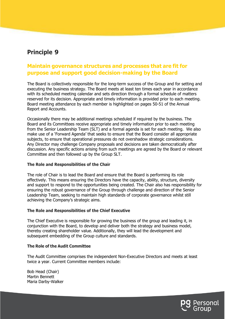### **Maintain governance structures and processes that are fit for purpose and support good decision-making by the Board**

The Board is collectively responsible for the long-term success of the Group and for setting and executing the business strategy. The Board meets at least ten times each year in accordance with its scheduled meeting calendar and sets direction through a formal schedule of matters reserved for its decision. Appropriate and timely information is provided prior to each meeting. Board meeting attendance by each member is highlighted on pages 50-51 of the Annual Report and Accounts.

Occasionally there may be additional meetings scheduled if required by the business. The Board and its Committees receive appropriate and timely information prior to each meeting from the Senior Leadership Team (SLT) and a formal agenda is set for each meeting. We also make use of a 'Forward Agenda' that seeks to ensure that the Board consider all appropriate subjects, to ensure that operational pressures do not overshadow strategic considerations. Any Director may challenge Company proposals and decisions are taken democratically after discussion. Any specific actions arising from such meetings are agreed by the Board or relevant Committee and then followed up by the Group SLT.

#### **The Role and Responsibilities of the Chair**

The role of Chair is to lead the Board and ensure that the Board is performing its role effectively. This means ensuring the Directors have the capacity, ability, structure, diversity and support to respond to the opportunities being created. The Chair also has responsibility for ensuring the robust governance of the Group through challenge and direction of the Senior Leadership Team, seeking to maintain high standards of corporate governance whilst still achieving the Company's strategic aims.

#### **The Role and Responsibilities of the Chief Executive**

The Chief Executive is responsible for growing the business of the group and leading it, in conjunction with the Board, to develop and deliver both the strategy and business model, thereby creating shareholder value. Additionally, they will lead the development and subsequent embedding of the Group culture and standards.

#### **The Role of the Audit Committee**

The Audit Committee comprises the independent Non-Executive Directors and meets at least twice a year. Current Committee members include:

Bob Head (Chair) Martin Bennett Maria Darby-Walker

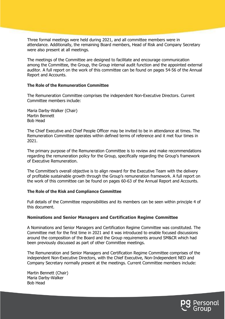Three formal meetings were held during 2021, and all committee members were in attendance. Additionally, the remaining Board members, Head of Risk and Company Secretary were also present at all meetings.

The meetings of the Committee are designed to facilitate and encourage communication among the Committee, the Group, the Group internal audit function and the appointed external auditor. A full report on the work of this committee can be found on pages 54-56 of the Annual Report and Accounts.

#### **The Role of the Remuneration Committee**

The Remuneration Committee comprises the independent Non-Executive Directors. Current Committee members include:

Maria Darby-Walker (Chair) Martin Bennett Bob Head

The Chief Executive and Chief People Officer may be invited to be in attendance at times. The Remuneration Committee operates within defined terms of reference and it met four times in 2021.

The primary purpose of the Remuneration Committee is to review and make recommendations regarding the remuneration policy for the Group, specifically regarding the Group's framework of Executive Remuneration.

The Committee's overall objective is to align reward for the Executive Team with the delivery of profitable sustainable growth through the Group's remuneration framework. A full report on the work of this committee can be found on pages 60-63 of the Annual Report and Accounts.

#### **The Role of the Risk and Compliance Committee**

Full details of the Committee responsibilities and its members can be seen within principle 4 of this document.

#### **Nominations and Senior Managers and Certification Regime Committee**

A Nominations and Senior Managers and Certification Regime Committee was constituted. The Committee met for the first time in 2021 and it was introduced to enable focused discussions around the composition of the Board and the Group requirements around SM&CR which had been previously discussed as part of other Committee meetings.

The Remuneration and Senior Managers and Certification Regime Committee comprises of the independent Non-Executive Directors, with the Chief Executive, Non-Independent NED and Company Secretary normally present at the meetings. Current Committee members include:

Martin Bennett (Chair) Maria Darby-Walker Bob Head

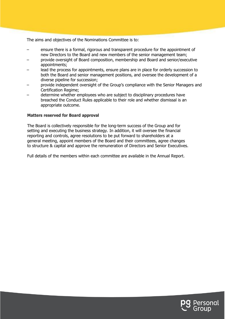The aims and objectives of the Nominations Committee is to:

- ensure there is a formal, rigorous and transparent procedure for the appointment of new Directors to the Board and new members of the senior management team;
- provide oversight of Board composition, membership and Board and senior/executive appointments;
- lead the process for appointments, ensure plans are in place for orderly succession to both the Board and senior management positions, and oversee the development of a diverse pipeline for succession;
- provide independent oversight of the Group's compliance with the Senior Managers and Certification Regime;
- determine whether employees who are subject to disciplinary procedures have breached the Conduct Rules applicable to their role and whether dismissal is an appropriate outcome.

#### **Matters reserved for Board approval**

The Board is collectively responsible for the long-term success of the Group and for setting and executing the business strategy. In addition, it will oversee the financial reporting and controls, agree resolutions to be put forward to shareholders at a general meeting, appoint members of the Board and their committees, agree changes to structure & capital and approve the remuneration of Directors and Senior Executives.

Full details of the members within each committee are available in the Annual Report.